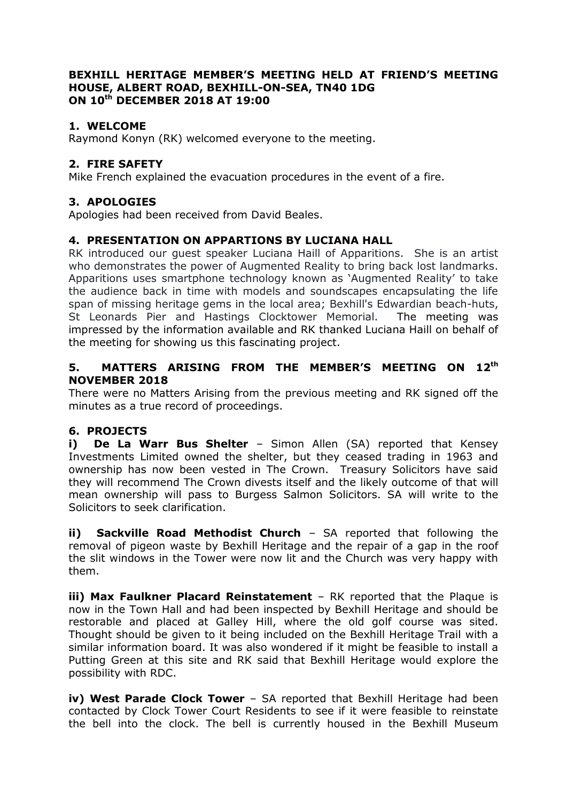#### **BEXHILL HERITAGE MEMBER'S MEETING HELD AT FRIEND'S MEETING HOUSE, ALBERT ROAD, BEXHILL-ON-SEA, TN40 1DG ON 10th DECEMBER 2018 AT 19:00**

## **1. WELCOME**

Raymond Konyn (RK) welcomed everyone to the meeting.

## **2. FIRE SAFETY**

Mike French explained the evacuation procedures in the event of a fire.

# **3. APOLOGIES**

Apologies had been received from David Beales.

### **4. PRESENTATION ON APPARTIONS BY LUCIANA HALL**

RK introduced our guest speaker Luciana Haill of Apparitions. She is an artist who demonstrates the power of Augmented Reality to bring back lost landmarks. Apparitions uses smartphone technology known as 'Augmented Reality' to take the audience back in time with models and soundscapes encapsulating the life span of missing heritage gems in the local area; Bexhill's Edwardian beach-huts, St Leonards Pier and Hastings Clocktower Memorial. The meeting was impressed by the information available and RK thanked Luciana Haill on behalf of the meeting for showing us this fascinating project.

### **5. MATTERS ARISING FROM THE MEMBER'S MEETING ON 12th NOVEMBER 2018**

There were no Matters Arising from the previous meeting and RK signed off the minutes as a true record of proceedings.

### **6. PROJECTS**

**i) De La Warr Bus Shelter** - Simon Allen (SA) reported that Kensey Investments Limited owned the shelter, but they ceased trading in 1963 and ownership has now been vested in The Crown. Treasury Solicitors have said they will recommend The Crown divests itself and the likely outcome of that will mean ownership will pass to Burgess Salmon Solicitors. SA will write to the Solicitors to seek clarification.

**ii) Sackville Road Methodist Church** – SA reported that following the removal of pigeon waste by Bexhill Heritage and the repair of a gap in the roof the slit windows in the Tower were now lit and the Church was very happy with them.

**iii) Max Faulkner Placard Reinstatement** – RK reported that the Plaque is now in the Town Hall and had been inspected by Bexhill Heritage and should be restorable and placed at Galley Hill, where the old golf course was sited. Thought should be given to it being included on the Bexhill Heritage Trail with a similar information board. It was also wondered if it might be feasible to install a Putting Green at this site and RK said that Bexhill Heritage would explore the possibility with RDC.

**iv) West Parade Clock Tower** – SA reported that Bexhill Heritage had been contacted by Clock Tower Court Residents to see if it were feasible to reinstate the bell into the clock. The bell is currently housed in the Bexhill Museum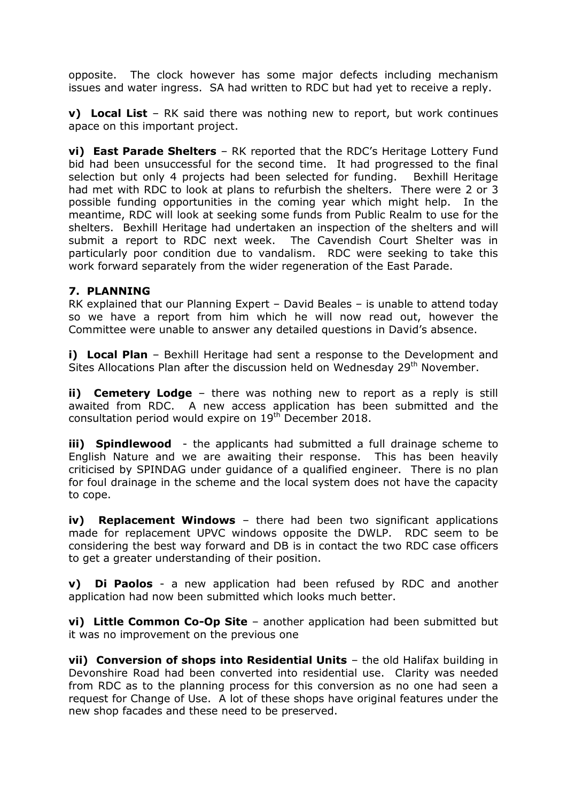opposite. The clock however has some major defects including mechanism issues and water ingress. SA had written to RDC but had yet to receive a reply.

**v) Local List** – RK said there was nothing new to report, but work continues apace on this important project.

**vi) East Parade Shelters** – RK reported that the RDC's Heritage Lottery Fund bid had been unsuccessful for the second time. It had progressed to the final selection but only 4 projects had been selected for funding. Bexhill Heritage had met with RDC to look at plans to refurbish the shelters. There were 2 or 3 possible funding opportunities in the coming year which might help. In the meantime, RDC will look at seeking some funds from Public Realm to use for the shelters. Bexhill Heritage had undertaken an inspection of the shelters and will submit a report to RDC next week. The Cavendish Court Shelter was in particularly poor condition due to vandalism. RDC were seeking to take this work forward separately from the wider regeneration of the East Parade.

### **7. PLANNING**

RK explained that our Planning Expert – David Beales – is unable to attend today so we have a report from him which he will now read out, however the Committee were unable to answer any detailed questions in David's absence.

**i) Local Plan** – Bexhill Heritage had sent a response to the Development and Sites Allocations Plan after the discussion held on Wednesday 29<sup>th</sup> November.

**ii) Cemetery Lodge** – there was nothing new to report as a reply is still awaited from RDC. A new access application has been submitted and the consultation period would expire on 19<sup>th</sup> December 2018.

**iii) Spindlewood** - the applicants had submitted a full drainage scheme to English Nature and we are awaiting their response. This has been heavily criticised by SPINDAG under guidance of a qualified engineer. There is no plan for foul drainage in the scheme and the local system does not have the capacity to cope.

**iv) Replacement Windows** – there had been two significant applications made for replacement UPVC windows opposite the DWLP. RDC seem to be considering the best way forward and DB is in contact the two RDC case officers to get a greater understanding of their position.

**v) Di Paolos** - a new application had been refused by RDC and another application had now been submitted which looks much better.

**vi) Little Common Co-Op Site** – another application had been submitted but it was no improvement on the previous one

**vii) Conversion of shops into Residential Units** – the old Halifax building in Devonshire Road had been converted into residential use. Clarity was needed from RDC as to the planning process for this conversion as no one had seen a request for Change of Use. A lot of these shops have original features under the new shop facades and these need to be preserved.